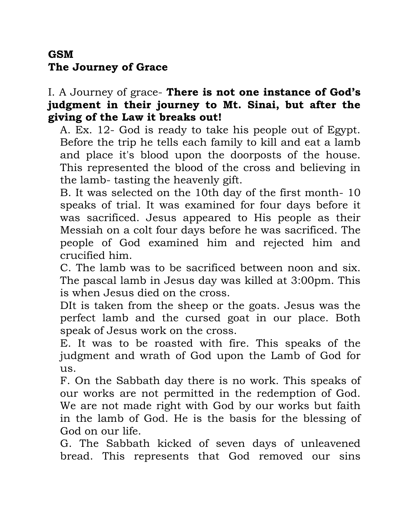## **GSM The Journey of Grace**

## I. A Journey of grace- **There is not one instance of God's judgment in their journey to Mt. Sinai, but after the giving of the Law it breaks out!**

A. Ex. 12- God is ready to take his people out of Egypt. Before the trip he tells each family to kill and eat a lamb and place it's blood upon the doorposts of the house. This represented the blood of the cross and believing in the lamb- tasting the heavenly gift.

B. It was selected on the 10th day of the first month- 10 speaks of trial. It was examined for four days before it was sacrificed. Jesus appeared to His people as their Messiah on a colt four days before he was sacrificed. The people of God examined him and rejected him and crucified him.

C. The lamb was to be sacrificed between noon and six. The pascal lamb in Jesus day was killed at 3:00pm. This is when Jesus died on the cross.

DIt is taken from the sheep or the goats. Jesus was the perfect lamb and the cursed goat in our place. Both speak of Jesus work on the cross.

E. It was to be roasted with fire. This speaks of the judgment and wrath of God upon the Lamb of God for us.

F. On the Sabbath day there is no work. This speaks of our works are not permitted in the redemption of God. We are not made right with God by our works but faith in the lamb of God. He is the basis for the blessing of God on our life.

G. The Sabbath kicked of seven days of unleavened bread. This represents that God removed our sins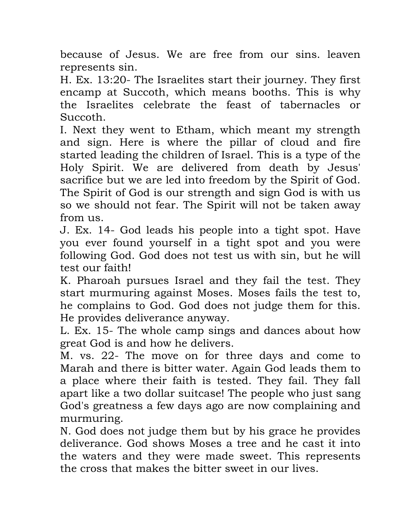because of Jesus. We are free from our sins. leaven represents sin.

H. Ex. 13:20- The Israelites start their journey. They first encamp at Succoth, which means booths. This is why the Israelites celebrate the feast of tabernacles or Succoth.

I. Next they went to Etham, which meant my strength and sign. Here is where the pillar of cloud and fire started leading the children of Israel. This is a type of the Holy Spirit. We are delivered from death by Jesus' sacrifice but we are led into freedom by the Spirit of God. The Spirit of God is our strength and sign God is with us so we should not fear. The Spirit will not be taken away from us.

J. Ex. 14- God leads his people into a tight spot. Have you ever found yourself in a tight spot and you were following God. God does not test us with sin, but he will test our faith!

K. Pharoah pursues Israel and they fail the test. They start murmuring against Moses. Moses fails the test to, he complains to God. God does not judge them for this. He provides deliverance anyway.

L. Ex. 15- The whole camp sings and dances about how great God is and how he delivers.

M. vs. 22- The move on for three days and come to Marah and there is bitter water. Again God leads them to a place where their faith is tested. They fail. They fall apart like a two dollar suitcase! The people who just sang God's greatness a few days ago are now complaining and murmuring.

N. God does not judge them but by his grace he provides deliverance. God shows Moses a tree and he cast it into the waters and they were made sweet. This represents the cross that makes the bitter sweet in our lives.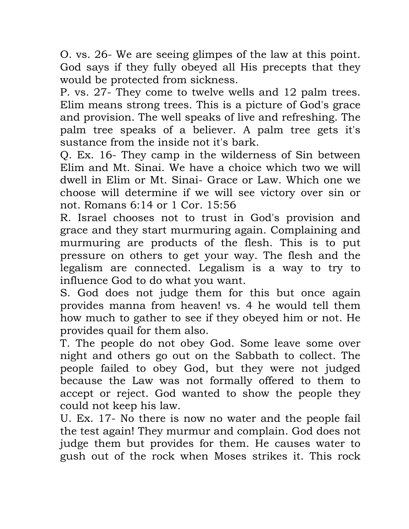O. vs. 26- We are seeing glimpes of the law at this point. God says if they fully obeyed all His precepts that they would be protected from sickness.

P. vs. 27- They come to twelve wells and 12 palm trees. Elim means strong trees. This is a picture of God's grace and provision. The well speaks of live and refreshing. The palm tree speaks of a believer. A palm tree gets it's sustance from the inside not it's bark.

Q. Ex. 16- They camp in the wilderness of Sin between Elim and Mt. Sinai. We have a choice which two we will dwell in Elim or Mt. Sinai- Grace or Law. Which one we choose will determine if we will see victory over sin or not. Romans 6:14 or 1 Cor. 15:56

R. Israel chooses not to trust in God's provision and grace and they start murmuring again. Complaining and murmuring are products of the flesh. This is to put pressure on others to get your way. The flesh and the legalism are connected. Legalism is a way to try to influence God to do what you want.

S. God does not judge them for this but once again provides manna from heaven! vs. 4 he would tell them how much to gather to see if they obeyed him or not. He provides quail for them also.

T. The people do not obey God. Some leave some over night and others go out on the Sabbath to collect. The people failed to obey God, but they were not judged because the Law was not formally offered to them to accept or reject. God wanted to show the people they could not keep his law.

U. Ex. 17- No there is now no water and the people fail the test again! They murmur and complain. God does not judge them but provides for them. He causes water to gush out of the rock when Moses strikes it. This rock